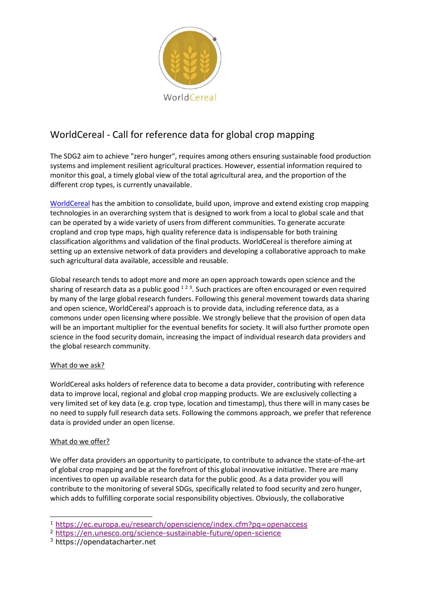

## WorldCereal - Call for reference data for global crop mapping

The SDG2 aim to achieve "zero hunger", requires among others ensuring sustainable food production systems and implement resilient agricultural practices. However, essential information required to monitor this goal, a timely global view of the total agricultural area, and the proportion of the different crop types, is currently unavailable.

[WorldCereal](https://remotesensing.vito.be/esa-tender-worldcereal-granted) has the ambition to consolidate, build upon, improve and extend existing crop mapping technologies in an overarching system that is designed to work from a local to global scale and that can be operated by a wide variety of users from different communities. To generate accurate cropland and crop type maps, high quality reference data is indispensable for both training classification algorithms and validation of the final products. WorldCereal is therefore aiming at setting up an extensive network of data providers and developing a collaborative approach to make such agricultural data available, accessible and reusable.

Global research tends to adopt more and more an open approach towards open science and the sharing of research data as a public good  $123$ . Such practices are often encouraged or even required by many of the large global research funders. Following this general movement towards data sharing and open science, WorldCereal's approach is to provide data, including reference data, as a commons under open licensing where possible. We strongly believe that the provision of open data will be an important multiplier for the eventual benefits for society. It will also further promote open science in the food security domain, increasing the impact of individual research data providers and the global research community.

## What do we ask?

WorldCereal asks holders of reference data to become a data provider, contributing with reference data to improve local, regional and global crop mapping products. We are exclusively collecting a very limited set of key data (e.g. crop type, location and timestamp), thus there will in many cases be no need to supply full research data sets. Following the commons approach, we prefer that reference data is provided under an open license.

## What do we offer?

-

We offer data providers an opportunity to participate, to contribute to advance the state-of-the-art of global crop mapping and be at the forefront of this global innovative initiative. There are many incentives to open up available research data for the public good. As a data provider you will contribute to the monitoring of several SDGs, specifically related to food security and zero hunger, which adds to fulfilling corporate social responsibility objectives. Obviously, the collaborative

<sup>1</sup> <https://ec.europa.eu/research/openscience/index.cfm?pg=openaccess>

<sup>2</sup> <https://en.unesco.org/science-sustainable-future/open-science>

<sup>3</sup> https://opendatacharter.net